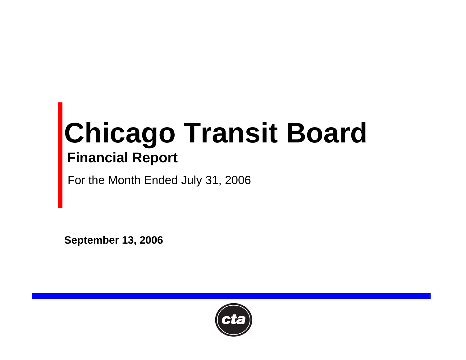# **Chicago Transit Board Financial Report**

For the Month Ended July 31, 2006

**September 13, 2006**

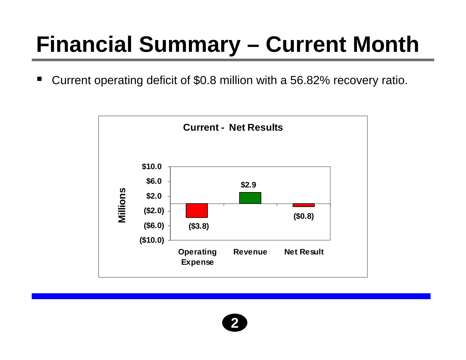# **Financial Summary – Current Month**

w Current operating deficit of \$0.8 million with a 56.82% recovery ratio.



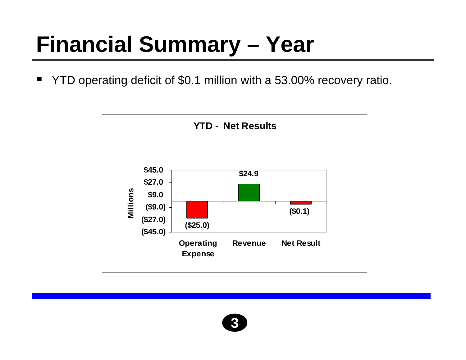#### **Financial Summary – Year**

 $\blacksquare$ YTD operating deficit of \$0.1 million with a 53.00% recovery ratio.



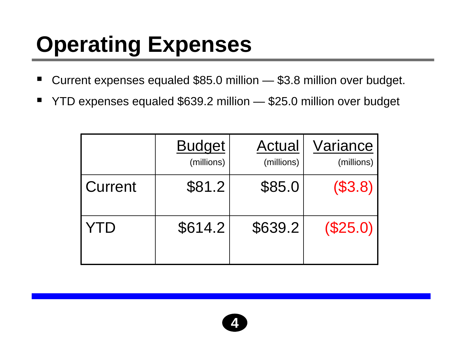# **Operating Expenses**

- ٠ ■ Current expenses equaled \$85.0 million – \$3.8 million over budget.
- ٠ YTD expenses equaled \$639.2 million — \$25.0 million over budget

|                | <b>Budget</b><br>(millions) | Actual<br>(millions) | Variance<br>(millions) |
|----------------|-----------------------------|----------------------|------------------------|
| <b>Current</b> | \$81.2                      | \$85.0               | (\$3.8)                |
| YTD            | \$614.2                     | \$639.2              | (\$25.0)               |

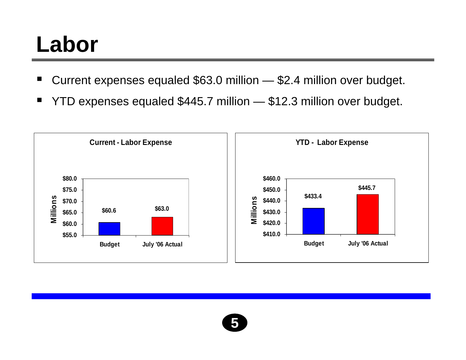#### **Labor**

- ٠ Current expenses equaled \$63.0 million — \$2.4 million over budget.
- ٠ YTD expenses equaled \$445.7 million — \$12.3 million over budget.



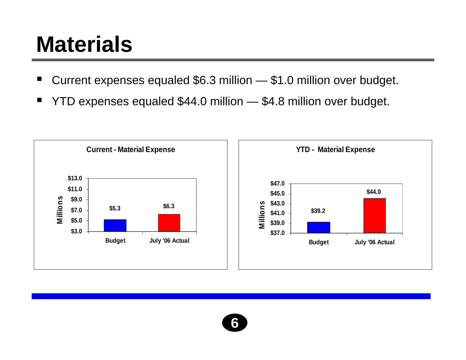#### **Materials**

- ٠ Current expenses equaled \$6.3 million — \$1.0 million over budget.
- ٠ YTD expenses equaled \$44.0 million — \$4.8 million over budget.

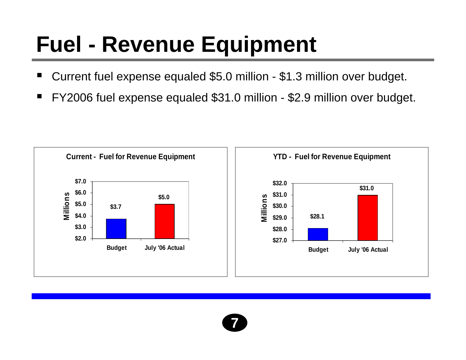### **Fuel - Revenue Equipment**

- ٠ Current fuel expense equaled \$5.0 million - \$1.3 million over budget.
- ٠ FY2006 fuel expense equaled \$31.0 million - \$2.9 million over budget.



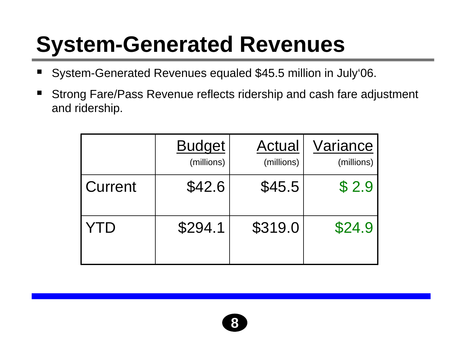### **System-Generated Revenues**

- ٠ System-Generated Revenues equaled \$45.5 million in July'06.
- ٠ Strong Fare/Pass Revenue reflects ridership and cash fare adjustment and ridership.

|         | <b>Budget</b><br>(millions) | Actual<br>(millions) | Variance<br>(millions) |
|---------|-----------------------------|----------------------|------------------------|
| Current | \$42.6                      | \$45.5               | \$2.9                  |
| YTD     | \$294.1                     | \$319.0              | \$24.9                 |